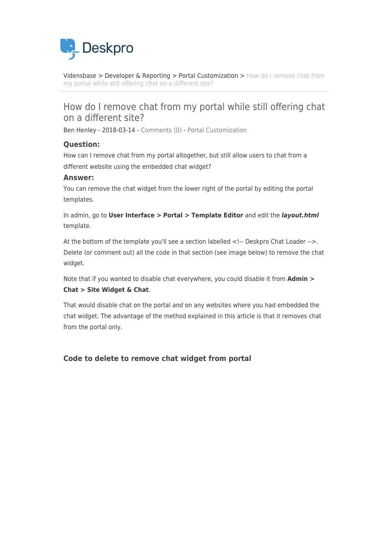

[Vidensbase](https://support.deskpro.com/da/kb) > [Developer & Reporting](https://support.deskpro.com/da/kb/developer-reporting) > [Portal Customization](https://support.deskpro.com/da/kb/portal-customization) > [How do I remove chat from](https://support.deskpro.com/da/kb/articles/how-do-i-remove-chat-from-my-portal-while-still-offering-chat-on-a-different-site) [my portal while still offering chat on a different site?](https://support.deskpro.com/da/kb/articles/how-do-i-remove-chat-from-my-portal-while-still-offering-chat-on-a-different-site)

## How do I remove chat from my portal while still offering chat on a different site?

Ben Henley - 2018-03-14 - [Comments \(0\)](#page--1-0) - [Portal Customization](https://support.deskpro.com/da/kb/portal-customization)

## **Question:**

How can I remove chat from my portal altogether, but still allow users to chat from a different website using the embedded chat widget?

## **Answer:**

You can remove the chat widget from the lower right of the portal by editing the portal templates.

In admin, go to **User Interface > Portal > Template Editor** and edit the *layout.html* template.

At the bottom of the template you'll see a section labelled <!-- Deskpro Chat Loader -->. Delete (or comment out) all the code in that section (see image below) to remove the chat widget.

Note that if you wanted to disable chat everywhere, you could disable it from **Admin > Chat > Site Widget & Chat**.

That would disable chat on the portal and on any websites where you had embedded the chat widget. The advantage of the method explained in this article is that it removes chat from the portal only.

## **Code to delete to remove chat widget from portal**